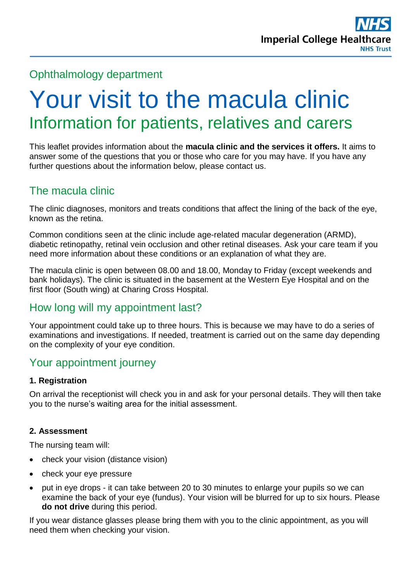# Ophthalmology department

# Your visit to the macula clinic Information for patients, relatives and carers

This leaflet provides information about the **macula clinic and the services it offers.** It aims to answer some of the questions that you or those who care for you may have. If you have any further questions about the information below, please contact us.

# The macula clinic

The clinic diagnoses, monitors and treats conditions that affect the lining of the back of the eye, known as the retina.

Common conditions seen at the clinic include age-related macular degeneration (ARMD), diabetic retinopathy, retinal vein occlusion and other retinal diseases. Ask your care team if you need more information about these conditions or an explanation of what they are.

The macula clinic is open between 08.00 and 18.00, Monday to Friday (except weekends and bank holidays). The clinic is situated in the basement at the Western Eye Hospital and on the first floor (South wing) at Charing Cross Hospital.

# How long will my appointment last?

Your appointment could take up to three hours. This is because we may have to do a series of examinations and investigations. If needed, treatment is carried out on the same day depending on the complexity of your eye condition.

# Your appointment journey

#### **1. Registration**

On arrival the receptionist will check you in and ask for your personal details. They will then take you to the nurse's waiting area for the initial assessment.

#### **2. Assessment**

The nursing team will:

- check your vision (distance vision)
- check your eve pressure
- put in eye drops it can take between 20 to 30 minutes to enlarge your pupils so we can examine the back of your eye (fundus). Your vision will be blurred for up to six hours. Please **do not drive** during this period.

If you wear distance glasses please bring them with you to the clinic appointment, as you will need them when checking your vision.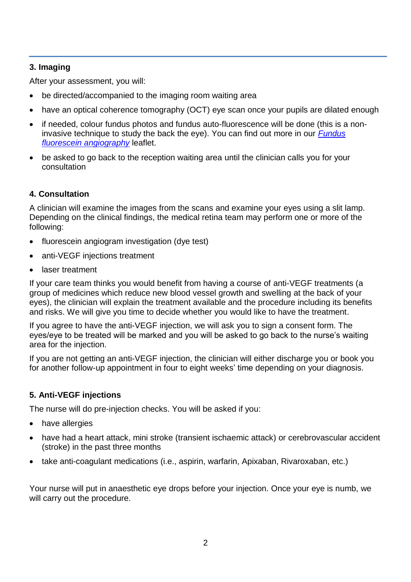#### **3. Imaging**

After your assessment, you will:

- be directed/accompanied to the imaging room waiting area
- have an optical coherence tomography (OCT) eye scan once your pupils are dilated enough
- if needed, colour fundus photos and fundus auto-fluorescence will be done (this is a noninvasive technique to study the back the eye). You can find out more in our *[Fundus](https://www.imperial.nhs.uk/~/media/website/patient-information-leaflets/ophthalmology/fundus-fluorescein-angiography.pdf?la=en)  [fluorescein angiography](https://www.imperial.nhs.uk/~/media/website/patient-information-leaflets/ophthalmology/fundus-fluorescein-angiography.pdf?la=en)* leaflet.
- be asked to go back to the reception waiting area until the clinician calls you for your consultation

#### **4. Consultation**

A clinician will examine the images from the scans and examine your eyes using a slit lamp. Depending on the clinical findings, the medical retina team may perform one or more of the following:

- fluorescein angiogram investigation (dye test)
- anti-VEGF injections treatment
- laser treatment

If your care team thinks you would benefit from having a course of anti-VEGF treatments (a group of medicines which reduce new blood vessel growth and swelling at the back of your eyes), the clinician will explain the treatment available and the procedure including its benefits and risks. We will give you time to decide whether you would like to have the treatment.

If you agree to have the anti-VEGF injection, we will ask you to sign a consent form. The eyes/eye to be treated will be marked and you will be asked to go back to the nurse's waiting area for the injection.

If you are not getting an anti-VEGF injection, the clinician will either discharge you or book you for another follow-up appointment in four to eight weeks' time depending on your diagnosis.

#### **5. Anti-VEGF injections**

The nurse will do pre-injection checks. You will be asked if you:

- have allergies
- have had a heart attack, mini stroke (transient ischaemic attack) or cerebrovascular accident (stroke) in the past three months
- take anti-coagulant medications (i.e., aspirin, warfarin, Apixaban, Rivaroxaban, etc.)

Your nurse will put in anaesthetic eye drops before your injection. Once your eye is numb, we will carry out the procedure.